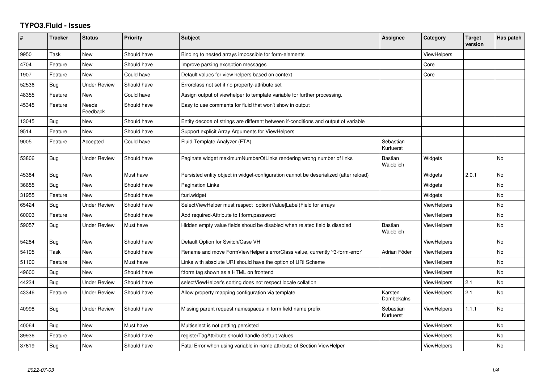## **TYPO3.Fluid - Issues**

| #     | <b>Tracker</b> | <b>Status</b>            | <b>Priority</b> | <b>Subject</b>                                                                        | Assignee                    | Category           | <b>Target</b><br>version | Has patch |
|-------|----------------|--------------------------|-----------------|---------------------------------------------------------------------------------------|-----------------------------|--------------------|--------------------------|-----------|
| 9950  | Task           | <b>New</b>               | Should have     | Binding to nested arrays impossible for form-elements                                 |                             | ViewHelpers        |                          |           |
| 4704  | Feature        | New                      | Should have     | Improve parsing exception messages                                                    |                             | Core               |                          |           |
| 1907  | Feature        | New                      | Could have      | Default values for view helpers based on context                                      |                             | Core               |                          |           |
| 52536 | Bug            | Under Review             | Should have     | Errorclass not set if no property-attribute set                                       |                             |                    |                          |           |
| 48355 | Feature        | New                      | Could have      | Assign output of viewhelper to template variable for further processing.              |                             |                    |                          |           |
| 45345 | Feature        | <b>Needs</b><br>Feedback | Should have     | Easy to use comments for fluid that won't show in output                              |                             |                    |                          |           |
| 13045 | <b>Bug</b>     | New                      | Should have     | Entity decode of strings are different between if-conditions and output of variable   |                             |                    |                          |           |
| 9514  | Feature        | New                      | Should have     | Support explicit Array Arguments for ViewHelpers                                      |                             |                    |                          |           |
| 9005  | Feature        | Accepted                 | Could have      | Fluid Template Analyzer (FTA)                                                         | Sebastian<br>Kurfuerst      |                    |                          |           |
| 53806 | Bug            | Under Review             | Should have     | Paginate widget maximumNumberOfLinks rendering wrong number of links                  | <b>Bastian</b><br>Waidelich | Widgets            |                          | No        |
| 45384 | Bug            | New                      | Must have       | Persisted entity object in widget-configuration cannot be deserialized (after reload) |                             | Widgets            | 2.0.1                    | <b>No</b> |
| 36655 | <b>Bug</b>     | New                      | Should have     | Pagination Links                                                                      |                             | Widgets            |                          | No        |
| 31955 | Feature        | New                      | Should have     | f:uri.widget                                                                          |                             | Widgets            |                          | No        |
| 65424 | <b>Bug</b>     | <b>Under Review</b>      | Should have     | SelectViewHelper must respect option(Value Label)Field for arrays                     |                             | ViewHelpers        |                          | No        |
| 60003 | Feature        | <b>New</b>               | Should have     | Add required-Attribute to f:form.password                                             |                             | ViewHelpers        |                          | No        |
| 59057 | <b>Bug</b>     | Under Review             | Must have       | Hidden empty value fields shoud be disabled when related field is disabled            | Bastian<br>Waidelich        | ViewHelpers        |                          | No        |
| 54284 | Bug            | New                      | Should have     | Default Option for Switch/Case VH                                                     |                             | ViewHelpers        |                          | <b>No</b> |
| 54195 | Task           | New                      | Should have     | Rename and move FormViewHelper's errorClass value, currently 'f3-form-error'          | Adrian Föder                | ViewHelpers        |                          | No        |
| 51100 | Feature        | New                      | Must have       | Links with absolute URI should have the option of URI Scheme                          |                             | ViewHelpers        |                          | <b>No</b> |
| 49600 | Bug            | New                      | Should have     | f:form tag shown as a HTML on frontend                                                |                             | <b>ViewHelpers</b> |                          | No        |
| 44234 | <b>Bug</b>     | <b>Under Review</b>      | Should have     | selectViewHelper's sorting does not respect locale collation                          |                             | ViewHelpers        | 2.1                      | No        |
| 43346 | Feature        | <b>Under Review</b>      | Should have     | Allow property mapping configuration via template                                     | Karsten<br>Dambekalns       | ViewHelpers        | 2.1                      | No.       |
| 40998 | Bug            | Under Review             | Should have     | Missing parent request namespaces in form field name prefix                           | Sebastian<br>Kurfuerst      | <b>ViewHelpers</b> | 1.1.1                    | <b>No</b> |
| 40064 | Bug            | <b>New</b>               | Must have       | Multiselect is not getting persisted                                                  |                             | <b>ViewHelpers</b> |                          | <b>No</b> |
| 39936 | Feature        | New                      | Should have     | registerTagAttribute should handle default values                                     |                             | ViewHelpers        |                          | No        |
| 37619 | <b>Bug</b>     | New                      | Should have     | Fatal Error when using variable in name attribute of Section ViewHelper               |                             | <b>ViewHelpers</b> |                          | No        |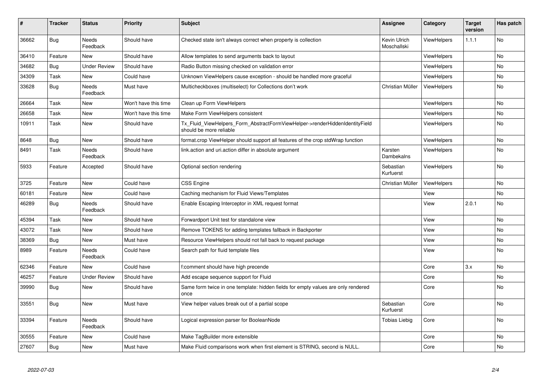| #     | <b>Tracker</b> | <b>Status</b>            | <b>Priority</b>      | <b>Subject</b>                                                                                         | <b>Assignee</b>             | Category           | <b>Target</b><br>version | Has patch |
|-------|----------------|--------------------------|----------------------|--------------------------------------------------------------------------------------------------------|-----------------------------|--------------------|--------------------------|-----------|
| 36662 | Bug            | Needs<br>Feedback        | Should have          | Checked state isn't always correct when property is collection                                         | Kevin Ulrich<br>Moschallski | ViewHelpers        | 1.1.1                    | <b>No</b> |
| 36410 | Feature        | New                      | Should have          | Allow templates to send arguments back to layout                                                       |                             | <b>ViewHelpers</b> |                          | <b>No</b> |
| 34682 | Bug            | <b>Under Review</b>      | Should have          | Radio Button missing checked on validation error                                                       |                             | <b>ViewHelpers</b> |                          | <b>No</b> |
| 34309 | Task           | New                      | Could have           | Unknown ViewHelpers cause exception - should be handled more graceful                                  |                             | ViewHelpers        |                          | <b>No</b> |
| 33628 | Bug            | Needs<br>Feedback        | Must have            | Multicheckboxes (multiselect) for Collections don't work                                               | Christian Müller            | ViewHelpers        |                          | No        |
| 26664 | Task           | New                      | Won't have this time | Clean up Form ViewHelpers                                                                              |                             | <b>ViewHelpers</b> |                          | <b>No</b> |
| 26658 | Task           | New                      | Won't have this time | Make Form ViewHelpers consistent                                                                       |                             | ViewHelpers        |                          | No        |
| 10911 | Task           | New                      | Should have          | Tx_Fluid_ViewHelpers_Form_AbstractFormViewHelper->renderHiddenIdentityField<br>should be more reliable |                             | ViewHelpers        |                          | No        |
| 8648  | Bug            | New                      | Should have          | format.crop ViewHelper should support all features of the crop stdWrap function                        |                             | ViewHelpers        |                          | <b>No</b> |
| 8491  | Task           | Needs<br>Feedback        | Should have          | link.action and uri.action differ in absolute argument                                                 | Karsten<br>Dambekalns       | <b>ViewHelpers</b> |                          | <b>No</b> |
| 5933  | Feature        | Accepted                 | Should have          | Optional section rendering                                                                             | Sebastian<br>Kurfuerst      | <b>ViewHelpers</b> |                          | <b>No</b> |
| 3725  | Feature        | New                      | Could have           | <b>CSS Engine</b>                                                                                      | Christian Müller            | ViewHelpers        |                          | <b>No</b> |
| 60181 | Feature        | <b>New</b>               | Could have           | Caching mechanism for Fluid Views/Templates                                                            |                             | View               |                          | No        |
| 46289 | Bug            | <b>Needs</b><br>Feedback | Should have          | Enable Escaping Interceptor in XML request format                                                      |                             | View               | 2.0.1                    | <b>No</b> |
| 45394 | Task           | New                      | Should have          | Forwardport Unit test for standalone view                                                              |                             | View               |                          | <b>No</b> |
| 43072 | Task           | New                      | Should have          | Remove TOKENS for adding templates fallback in Backporter                                              |                             | View               |                          | <b>No</b> |
| 38369 | Bug            | New                      | Must have            | Resource ViewHelpers should not fall back to request package                                           |                             | View               |                          | <b>No</b> |
| 8989  | Feature        | Needs<br>Feedback        | Could have           | Search path for fluid template files                                                                   |                             | View               |                          | No        |
| 62346 | Feature        | <b>New</b>               | Could have           | f:comment should have high precende                                                                    |                             | Core               | 3.x                      | <b>No</b> |
| 46257 | Feature        | Under Review             | Should have          | Add escape sequence support for Fluid                                                                  |                             | Core               |                          | <b>No</b> |
| 39990 | <b>Bug</b>     | New                      | Should have          | Same form twice in one template: hidden fields for empty values are only rendered<br>once              |                             | Core               |                          | <b>No</b> |
| 33551 | Bug            | New                      | Must have            | View helper values break out of a partial scope                                                        | Sebastian<br>Kurfuerst      | Core               |                          | <b>No</b> |
| 33394 | Feature        | Needs<br>Feedback        | Should have          | Logical expression parser for BooleanNode                                                              | <b>Tobias Liebig</b>        | Core               |                          | <b>No</b> |
| 30555 | Feature        | New                      | Could have           | Make TagBuilder more extensible                                                                        |                             | Core               |                          | <b>No</b> |
| 27607 | Bug            | New                      | Must have            | Make Fluid comparisons work when first element is STRING, second is NULL.                              |                             | Core               |                          | No        |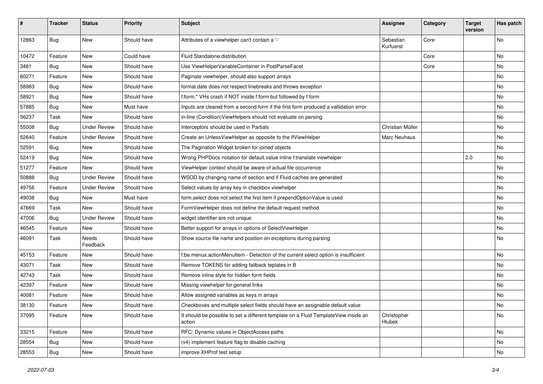| #     | <b>Tracker</b> | <b>Status</b>       | <b>Priority</b> | Subject                                                                                       | <b>Assignee</b>        | Category | <b>Target</b><br>version | Has patch |
|-------|----------------|---------------------|-----------------|-----------------------------------------------------------------------------------------------|------------------------|----------|--------------------------|-----------|
| 12863 | Bug            | <b>New</b>          | Should have     | Attributes of a viewhelper can't contain a '-'                                                | Sebastian<br>Kurfuerst | Core     |                          | <b>No</b> |
| 10472 | Feature        | New                 | Could have      | Fluid Standalone distribution                                                                 |                        | Core     |                          | No        |
| 3481  | Bug            | <b>New</b>          | Should have     | Use ViewHelperVariableContainer in PostParseFacet                                             |                        | Core     |                          | No        |
| 60271 | Feature        | New                 | Should have     | Paginate viewhelper, should also support arrays                                               |                        |          |                          | No        |
| 58983 | Bug            | New                 | Should have     | format.date does not respect linebreaks and throws exception                                  |                        |          |                          | <b>No</b> |
| 58921 | Bug            | New                 | Should have     | f:form.* VHs crash if NOT inside f:form but followed by f:form                                |                        |          |                          | No        |
| 57885 | Bug            | New                 | Must have       | Inputs are cleared from a second form if the first form produced a vallidation error          |                        |          |                          | No        |
| 56237 | Task           | New                 | Should have     | in-line (Condition) ViewHelpers should not evaluate on parsing                                |                        |          |                          | No        |
| 55008 | Bug            | <b>Under Review</b> | Should have     | Interceptors should be used in Partials                                                       | Christian Müller       |          |                          | No        |
| 52640 | Feature        | <b>Under Review</b> | Should have     | Create an UnlessViewHelper as opposite to the IfViewHelper                                    | Marc Neuhaus           |          |                          | <b>No</b> |
| 52591 | Bug            | New                 | Should have     | The Pagination Widget broken for joined objects                                               |                        |          |                          | No        |
| 52419 | Bug            | <b>New</b>          | Should have     | Wrong PHPDocs notation for default value inline f:translate viewhelper                        |                        |          | 2.0                      | No        |
| 51277 | Feature        | New                 | Should have     | ViewHelper context should be aware of actual file occurrence                                  |                        |          |                          | No        |
| 50888 | Bug            | <b>Under Review</b> | Should have     | WSOD by changing name of section and if Fluid caches are generated                            |                        |          |                          | No        |
| 49756 | Feature        | <b>Under Review</b> | Should have     | Select values by array key in checkbox viewhelper                                             |                        |          |                          | No        |
| 49038 | Bug            | New                 | Must have       | form.select does not select the first item if prependOptionValue is used                      |                        |          |                          | No        |
| 47669 | Task           | New                 | Should have     | FormViewHelper does not define the default request method                                     |                        |          |                          | No        |
| 47006 | Bug            | <b>Under Review</b> | Should have     | widget identifier are not unique                                                              |                        |          |                          | <b>No</b> |
| 46545 | Feature        | New                 | Should have     | Better support for arrays in options of SelectViewHelper                                      |                        |          |                          | No        |
| 46091 | Task           | Needs<br>Feedback   | Should have     | Show source file name and position on exceptions during parsing                               |                        |          |                          | No        |
| 45153 | Feature        | New                 | Should have     | f:be.menus.actionMenuItem - Detection of the current select option is insufficient            |                        |          |                          | No        |
| 43071 | Task           | New                 | Should have     | Remove TOKENS for adding fallback teplates in B                                               |                        |          |                          | No        |
| 42743 | Task           | New                 | Should have     | Remove inline style for hidden form fields                                                    |                        |          |                          | No        |
| 42397 | Feature        | New                 | Should have     | Missing viewhelper for general links                                                          |                        |          |                          | No        |
| 40081 | Feature        | New                 | Should have     | Allow assigned variables as keys in arrays                                                    |                        |          |                          | No        |
| 38130 | Feature        | New                 | Should have     | Checkboxes and multiple select fields should have an assignable default value                 |                        |          |                          | No        |
| 37095 | Feature        | New                 | Should have     | It should be possible to set a different template on a Fluid TemplateView inside an<br>action | Christopher<br>Hlubek  |          |                          | No        |
| 33215 | Feature        | New                 | Should have     | RFC: Dynamic values in ObjectAccess paths                                                     |                        |          |                          | No        |
| 28554 | <b>Bug</b>     | New                 | Should have     | (v4) implement feature flag to disable caching                                                |                        |          |                          | No        |
| 28553 | <b>Bug</b>     | New                 | Should have     | improve XHProf test setup                                                                     |                        |          |                          | No        |